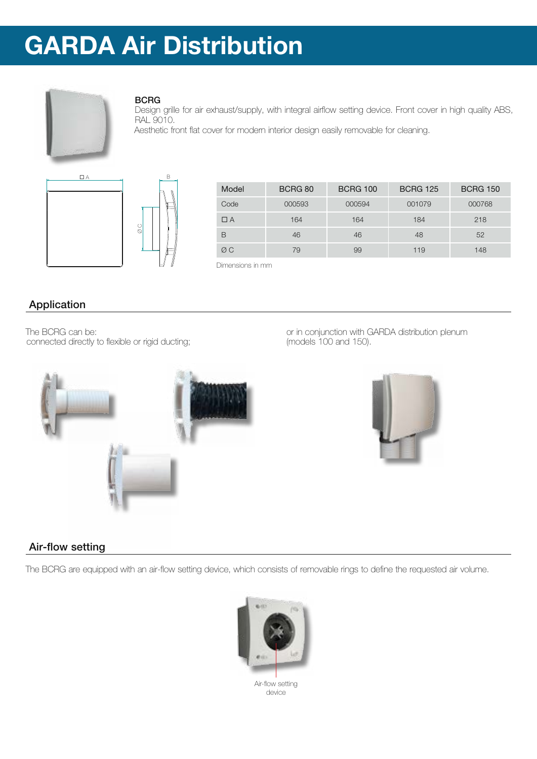

### BCRG

Design grille for air exhaust/supply, with integral airflow setting device. Front cover in high quality ABS, RAL 9010.

Aesthetic front flat cover for modern interior design easily removable for cleaning.



| Model | BCRG 80 | <b>BCRG 100</b> | <b>BCRG 125</b> | <b>BCRG 150</b> |
|-------|---------|-----------------|-----------------|-----------------|
| Code  | 000593  | 000594          | 001079          | 000768          |
| ПΑ    | 164     | 164             | 184             | 218             |
| B     | 46      | 46              | 48              | 52              |
| ØC    | 79      | 99              | 119             | 148             |

Dimensions in mm

## Application

The BCRG can be: connected directly to flexible or rigid ducting; or in conjunction with GARDA distribution plenum (models 100 and 150).



### Air-flow setting

The BCRG are equipped with an air-flow setting device, which consists of removable rings to define the requested air volume.

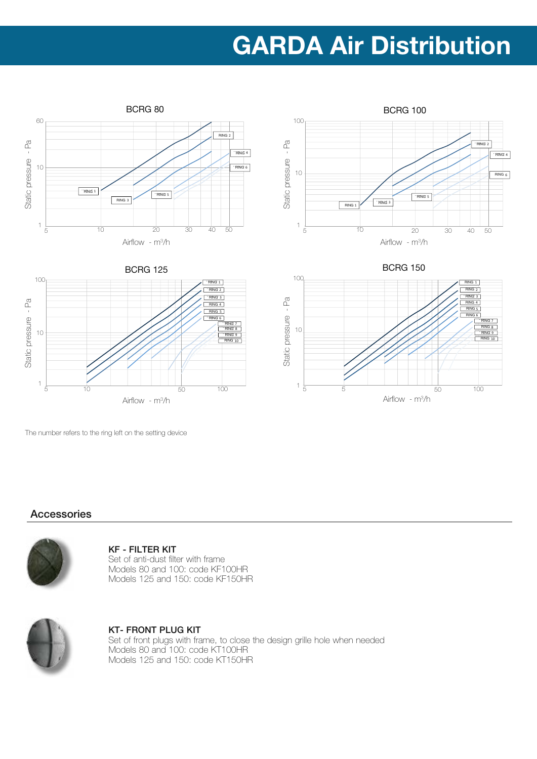







The number refers to the ring left on the setting device

5 50

10 100 50 50 10

Airflow - m<sup>3</sup>/h

### Accessories

10 10

5

1

Static pressure - Pa

Static pressure

 $\mathbb{E}_{d}$ 

100 100



#### KF - FILTER KIT

Set of anti-dust filter with frame Models 80 and 100: code KF100HR Models 125 and 150: code KF150HR



## KT- FRONT PLUG KIT

RING 1 RING 2 RING 3 RING 4 RING 5  $RING 6$ 

> RING 8<br>RING 10 RING 7

100

Set of front plugs with frame, to close the design grille hole when needed Models 80 and 100: code KT100HR Models 125 and 150: code KT150HR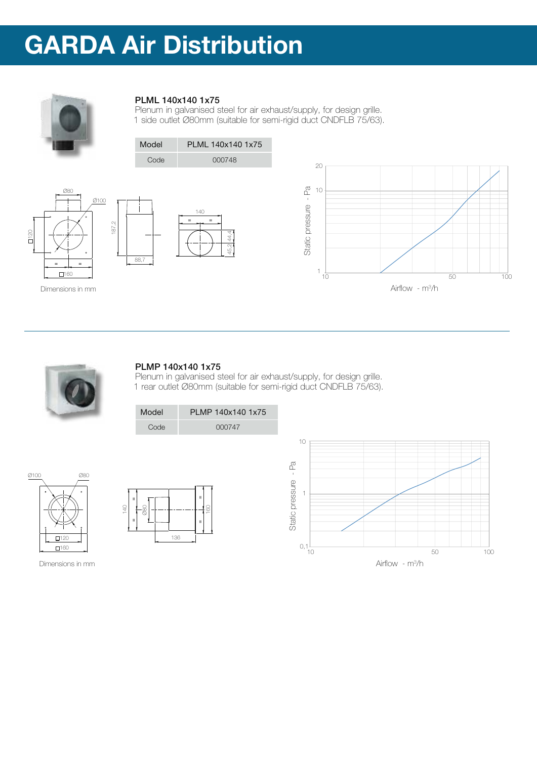

### PLML 140x140 1x75

Plenum in galvanised steel for air exhaust/supply, for design grille. 1 side outlet Ø80mm (suitable for semi-rigid duct CNDFLB 75/63).



### PLMP 140x140 1x75

ARCHIVIO CAD:  $\blacksquare$ 

T:\Archivio Progetti Industriale\Distribuzione



45,2 44,4

Plenum in galvanised steel for air exhaust/supply, for design grille. 1 rear outlet Ø80mm (suitable for semi-rigid duct CNDFLB 75/63).



AQD.00362.00362.00074.00074.00074.00074.00074



160 160 Dimensions in mm

 $\Gamma$ 

 $Ø10C$